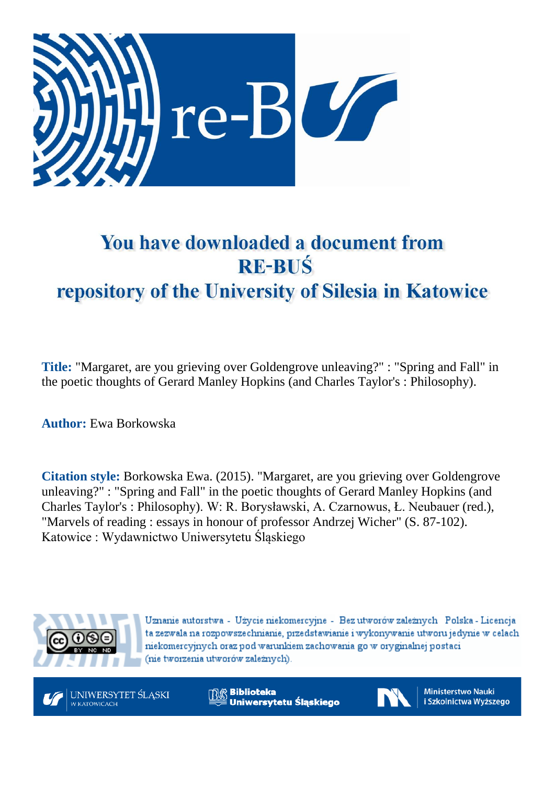

## You have downloaded a document from **RE-BUŚ** repository of the University of Silesia in Katowice

**Title:** "Margaret, are you grieving over Goldengrove unleaving?" : "Spring and Fall" in the poetic thoughts of Gerard Manley Hopkins (and Charles Taylor's : Philosophy).

**Author:** Ewa Borkowska

**Citation style:** Borkowska Ewa. (2015). "Margaret, are you grieving over Goldengrove unleaving?" : "Spring and Fall" in the poetic thoughts of Gerard Manley Hopkins (and Charles Taylor's : Philosophy). W: R. Borysławski, A. Czarnowus, Ł. Neubauer (red.), "Marvels of reading : essays in honour of professor Andrzej Wicher" (S. 87-102). Katowice : Wydawnictwo Uniwersytetu Śląskiego



Uznanie autorstwa - Użycie niekomercyjne - Bez utworów zależnych Polska - Licencja ta zezwala na rozpowszechnianie, przedstawianie i wykonywanie utworu jedynie w celach niekomercyjnych oraz pod warunkiem zachowania go w oryginalnej postaci (nie tworzenia utworów zależnych).



<sup>R</sup> Biblioteka Uniwersytetu Śląskiego



**Ministerstwo Nauki** i Szkolnictwa Wyższego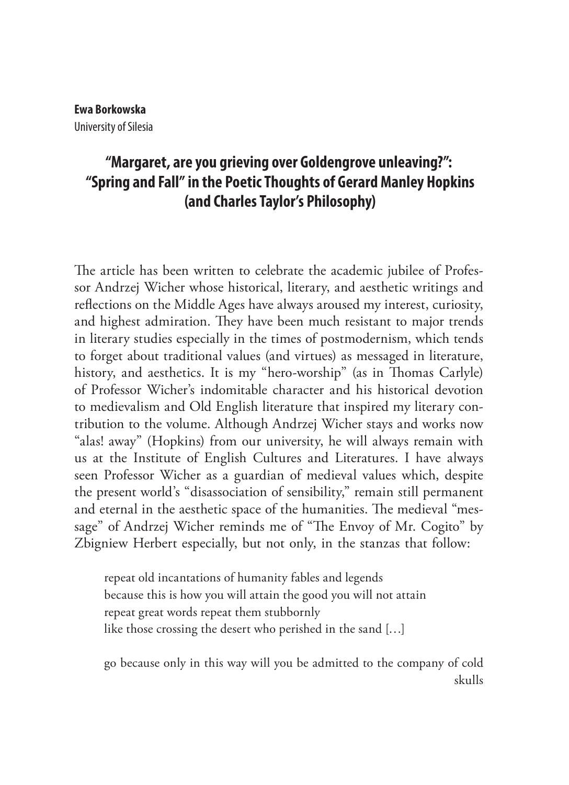## **Ewa Borkowska** University of Silesia

## **"Margaret, are you grieving over Goldengrove unleaving?": "Spring and Fall" in the Poetic Thoughts of Gerard Manley Hopkins (and Charles Taylor's Philosophy)**

The article has been written to celebrate the academic jubilee of Professor Andrzej Wicher whose historical, literary, and aesthetic writings and reflections on the Middle Ages have always aroused my interest, curiosity, and highest admiration. They have been much resistant to major trends in literary studies especially in the times of postmodernism, which tends to forget about traditional values (and virtues) as messaged in literature, history, and aesthetics. It is my "hero-worship" (as in Thomas Carlyle) of Professor Wicher's indomitable character and his historical devotion to medievalism and Old English literature that inspired my literary contribution to the volume. Although Andrzej Wicher stays and works now "alas! away" (Hopkins) from our university, he will always remain with us at the Institute of English Cultures and Literatures. I have always seen Professor Wicher as a guardian of medieval values which, despite the present world's "disassociation of sensibility," remain still permanent and eternal in the aesthetic space of the humanities. The medieval "message" of Andrzej Wicher reminds me of "The Envoy of Mr. Cogito" by Zbigniew Herbert especially, but not only, in the stanzas that follow:

repeat old incantations of humanity fables and legends because this is how you will attain the good you will not attain repeat great words repeat them stubbornly like those crossing the desert who perished in the sand […]

go because only in this way will you be admitted to the company of cold skulls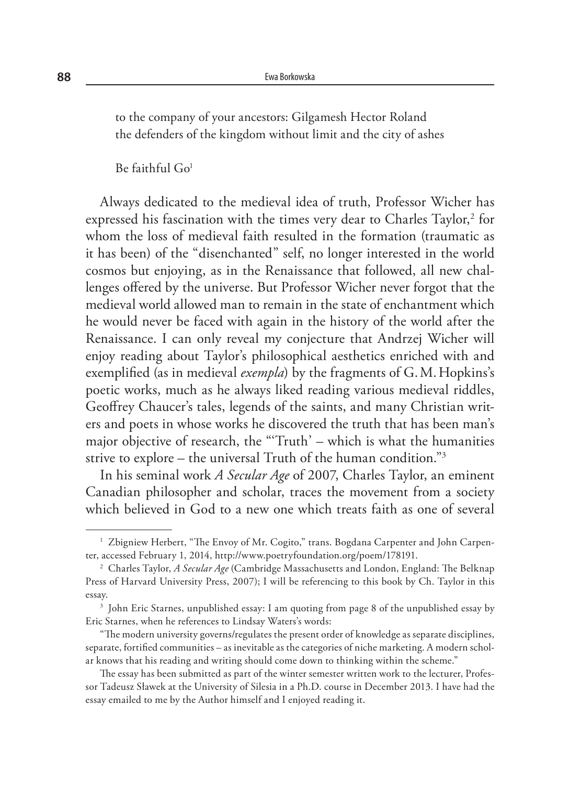to the company of your ancestors: Gilgamesh Hector Roland the defenders of the kingdom without limit and the city of ashes

 $Be$  faithful  $Go<sup>1</sup>$ 

Always dedicated to the medieval idea of truth, Professor Wicher has expressed his fascination with the times very dear to Charles Taylor, $2$  for whom the loss of medieval faith resulted in the formation (traumatic as it has been) of the "disenchanted" self, no longer interested in the world cosmos but enjoying, as in the Renaissance that followed, all new challenges offered by the universe. But Professor Wicher never forgot that the medieval world allowed man to remain in the state of enchantment which he would never be faced with again in the history of the world after the Renaissance. I can only reveal my conjecture that Andrzej Wicher will enjoy reading about Taylor's philosophical aesthetics enriched with and exemplified (as in medieval *exempla*) by the fragments of G.M. Hopkins's poetic works, much as he always liked reading various medieval riddles, Geoffrey Chaucer's tales, legends of the saints, and many Christian writers and poets in whose works he discovered the truth that has been man's major objective of research, the "'Truth' – which is what the humanities strive to explore – the universal Truth of the human condition."3

In his seminal work *A Secular Age* of 2007, Charles Taylor, an eminent Canadian philosopher and scholar, traces the movement from a society which believed in God to a new one which treats faith as one of several

<sup>&</sup>lt;sup>1</sup> Zbigniew Herbert, "The Envoy of Mr. Cogito," trans. Bogdana Carpenter and John Carpenter, accessed February 1, 2014, http://www.poetryfoundation.org/poem/178191.

<sup>2</sup> Charles Taylor, *A Secular Age* (Cambridge Massachusetts and London, England: The Belknap Press of Harvard University Press, 2007); I will be referencing to this book by Ch. Taylor in this essay.

<sup>3</sup> John Eric Starnes, unpublished essay: I am quoting from page 8 of the unpublished essay by Eric Starnes, when he references to Lindsay Waters's words:

<sup>&</sup>quot;The modern university governs/regulates the present order of knowledge as separate disciplines, separate, fortified communities – as inevitable as the categories of niche marketing. A modern scholar knows that his reading and writing should come down to thinking within the scheme."

The essay has been submitted as part of the winter semester written work to the lecturer, Professor Tadeusz Sławek at the University of Silesia in a Ph.D. course in December 2013. I have had the essay emailed to me by the Author himself and I enjoyed reading it.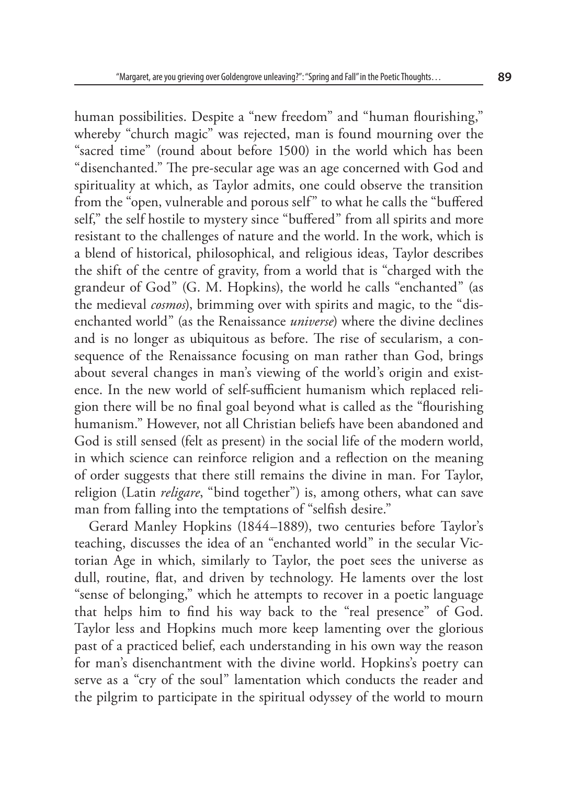human possibilities. Despite a "new freedom" and "human flourishing," whereby "church magic" was rejected, man is found mourning over the "sacred time" (round about before 1500) in the world which has been "disenchanted." The pre-secular age was an age concerned with God and spirituality at which, as Taylor admits, one could observe the transition from the "open, vulnerable and porous self" to what he calls the "buffered self," the self hostile to mystery since "buffered" from all spirits and more resistant to the challenges of nature and the world. In the work, which is a blend of historical, philosophical, and religious ideas, Taylor describes the shift of the centre of gravity, from a world that is "charged with the grandeur of God" (G. M. Hopkins), the world he calls "enchanted" (as the medieval *cosmos*), brimming over with spirits and magic, to the "disenchanted world" (as the Renaissance *universe*) where the divine declines and is no longer as ubiquitous as before. The rise of secularism, a consequence of the Renaissance focusing on man rather than God, brings about several changes in man's viewing of the world's origin and existence. In the new world of self-sufficient humanism which replaced religion there will be no final goal beyond what is called as the "flourishing humanism." However, not all Christian beliefs have been abandoned and God is still sensed (felt as present) in the social life of the modern world, in which science can reinforce religion and a reflection on the meaning of order suggests that there still remains the divine in man. For Taylor, religion (Latin *religare*, "bind together") is, among others, what can save man from falling into the temptations of "selfish desire."

Gerard Manley Hopkins (1844–1889), two centuries before Taylor's teaching, discusses the idea of an "enchanted world" in the secular Victorian Age in which, similarly to Taylor, the poet sees the universe as dull, routine, flat, and driven by technology. He laments over the lost "sense of belonging," which he attempts to recover in a poetic language that helps him to find his way back to the "real presence" of God. Taylor less and Hopkins much more keep lamenting over the glorious past of a practiced belief, each understanding in his own way the reason for man's disenchantment with the divine world. Hopkins's poetry can serve as a "cry of the soul" lamentation which conducts the reader and the pilgrim to participate in the spiritual odyssey of the world to mourn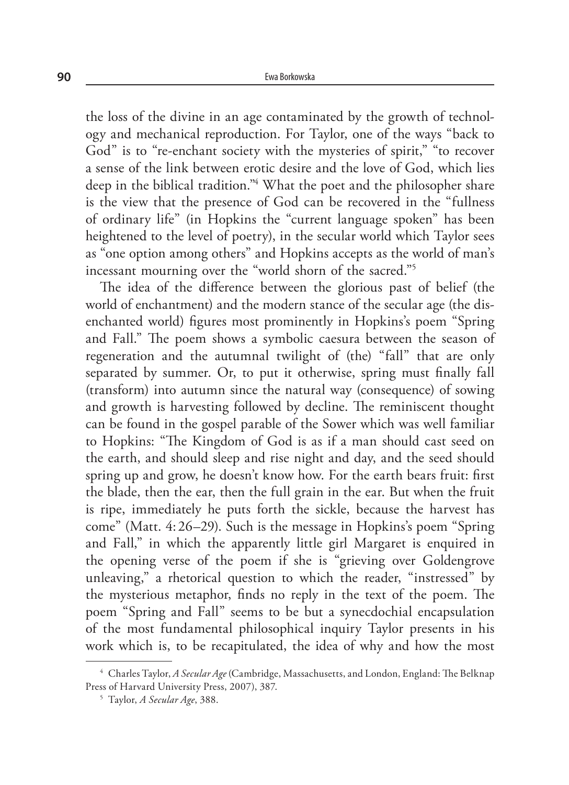the loss of the divine in an age contaminated by the growth of technology and mechanical reproduction. For Taylor, one of the ways "back to God" is to "re-enchant society with the mysteries of spirit," "to recover a sense of the link between erotic desire and the love of God, which lies deep in the biblical tradition."4 What the poet and the philosopher share is the view that the presence of God can be recovered in the "fullness of ordinary life" (in Hopkins the "current language spoken" has been heightened to the level of poetry), in the secular world which Taylor sees as "one option among others" and Hopkins accepts as the world of man's incessant mourning over the "world shorn of the sacred."5

The idea of the difference between the glorious past of belief (the world of enchantment) and the modern stance of the secular age (the disenchanted world) figures most prominently in Hopkins's poem "Spring and Fall." The poem shows a symbolic caesura between the season of regeneration and the autumnal twilight of (the) "fall" that are only separated by summer. Or, to put it otherwise, spring must finally fall (transform) into autumn since the natural way (consequence) of sowing and growth is harvesting followed by decline. The reminiscent thought can be found in the gospel parable of the Sower which was well familiar to Hopkins: "The Kingdom of God is as if a man should cast seed on the earth, and should sleep and rise night and day, and the seed should spring up and grow, he doesn't know how. For the earth bears fruit: first the blade, then the ear, then the full grain in the ear. But when the fruit is ripe, immediately he puts forth the sickle, because the harvest has come" (Matt. 4:26–29). Such is the message in Hopkins's poem "Spring and Fall," in which the apparently little girl Margaret is enquired in the opening verse of the poem if she is "grieving over Goldengrove unleaving," a rhetorical question to which the reader, "instressed" by the mysterious metaphor, finds no reply in the text of the poem. The poem "Spring and Fall" seems to be but a synecdochial encapsulation of the most fundamental philosophical inquiry Taylor presents in his work which is, to be recapitulated, the idea of why and how the most

<sup>4</sup> Charles Taylor, *A Secular Age* (Cambridge, Massachusetts, and London, England: The Belknap Press of Harvard University Press, 2007), 387.

<sup>5</sup> Taylor, *A Secular Age*, 388.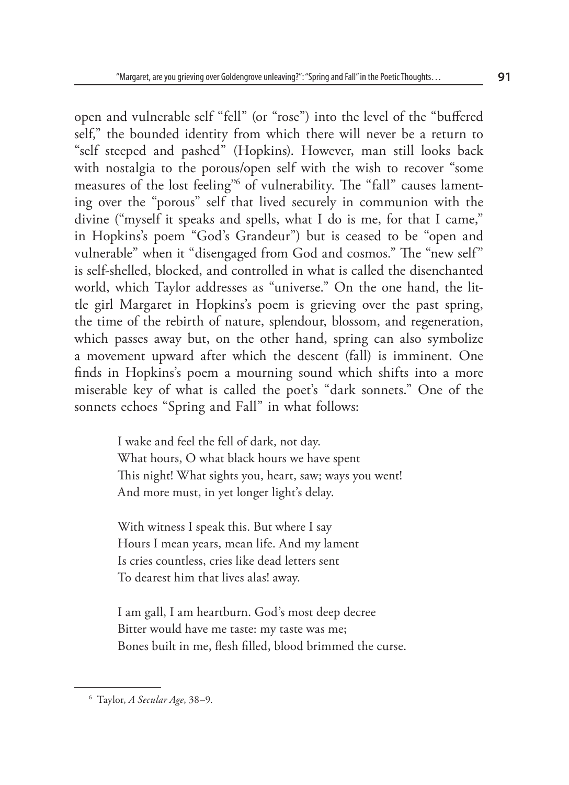open and vulnerable self "fell" (or "rose") into the level of the "buffered self," the bounded identity from which there will never be a return to "self steeped and pashed" (Hopkins). However, man still looks back with nostalgia to the porous/open self with the wish to recover "some measures of the lost feeling"6 of vulnerability. The "fall" causes lamenting over the "porous" self that lived securely in communion with the divine ("myself it speaks and spells, what I do is me, for that I came," in Hopkins's poem "God's Grandeur") but is ceased to be "open and vulnerable" when it "disengaged from God and cosmos." The "new self" is self-shelled, blocked, and controlled in what is called the disenchanted world, which Taylor addresses as "universe." On the one hand, the little girl Margaret in Hopkins's poem is grieving over the past spring, the time of the rebirth of nature, splendour, blossom, and regeneration, which passes away but, on the other hand, spring can also symbolize a movement upward after which the descent (fall) is imminent. One finds in Hopkins's poem a mourning sound which shifts into a more miserable key of what is called the poet's "dark sonnets." One of the sonnets echoes "Spring and Fall" in what follows:

> I wake and feel the fell of dark, not day. What hours, O what black hours we have spent This night! What sights you, heart, saw; ways you went! And more must, in yet longer light's delay.

With witness I speak this. But where I say Hours I mean years, mean life. And my lament Is cries countless, cries like dead letters sent To dearest him that lives alas! away.

I am gall, I am heartburn. God's most deep decree Bitter would have me taste: my taste was me; Bones built in me, flesh filled, blood brimmed the curse.

<sup>6</sup> Taylor, *A Secular Age*, 38–9.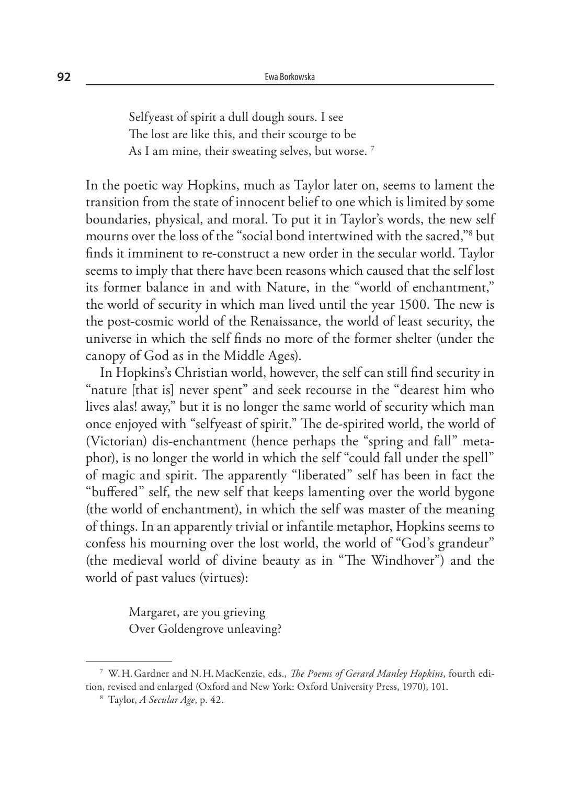Selfyeast of spirit a dull dough sours. I see The lost are like this, and their scourge to be As I am mine, their sweating selves, but worse.<sup>7</sup>

In the poetic way Hopkins, much as Taylor later on, seems to lament the transition from the state of innocent belief to one which is limited by some boundaries, physical, and moral. To put it in Taylor's words, the new self mourns over the loss of the "social bond intertwined with the sacred,"8 but finds it imminent to re-construct a new order in the secular world. Taylor seems to imply that there have been reasons which caused that the self lost its former balance in and with Nature, in the "world of enchantment," the world of security in which man lived until the year 1500. The new is the post-cosmic world of the Renaissance, the world of least security, the universe in which the self finds no more of the former shelter (under the canopy of God as in the Middle Ages).

In Hopkins's Christian world, however, the self can still find security in "nature [that is] never spent" and seek recourse in the "dearest him who lives alas! away," but it is no longer the same world of security which man once enjoyed with "selfyeast of spirit." The de-spirited world, the world of (Victorian) dis-enchantment (hence perhaps the "spring and fall" metaphor), is no longer the world in which the self "could fall under the spell" of magic and spirit. The apparently "liberated" self has been in fact the "buffered" self, the new self that keeps lamenting over the world bygone (the world of enchantment), in which the self was master of the meaning of things. In an apparently trivial or infantile metaphor, Hopkins seems to confess his mourning over the lost world, the world of "God's grandeur" (the medieval world of divine beauty as in "The Windhover") and the world of past values (virtues):

> Margaret, are you grieving Over Goldengrove unleaving?

<sup>7</sup> W.H.Gardner and N.H.MacKenzie, eds., *The Poems of Gerard Manley Hopkins*, fourth edition, revised and enlarged (Oxford and New York: Oxford University Press, 1970), 101.

<sup>8</sup> Taylor, *A Secular Age*, p. 42.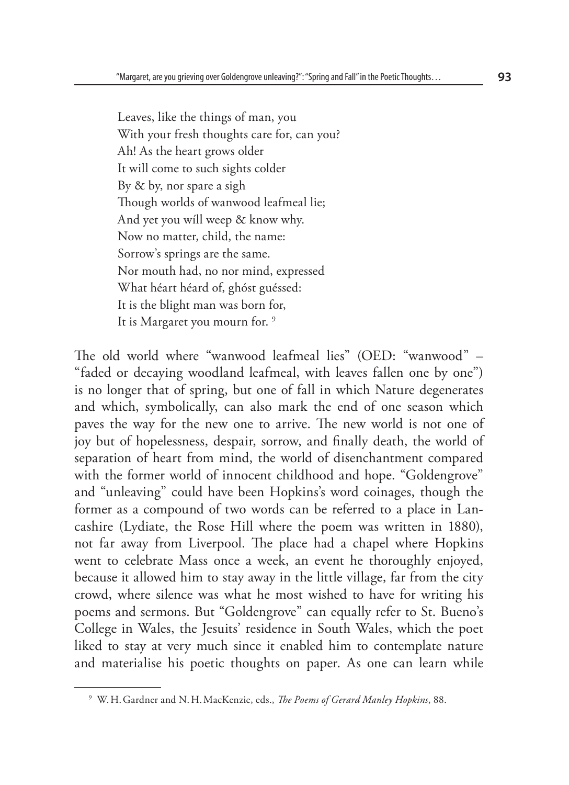Leaves, like the things of man, you With your fresh thoughts care for, can you? Ah! As the heart grows older It will come to such sights colder By & by, nor spare a sigh Though worlds of wanwood leafmeal lie; And yet you wíll weep & know why. Now no matter, child, the name: Sorrow's springs are the same. Nor mouth had, no nor mind, expressed What héart héard of, ghóst guéssed: It is the blight man was born for, It is Margaret you mourn for. 9

The old world where "wanwood leafmeal lies" (OED: "wanwood" – "faded or decaying woodland leafmeal, with leaves fallen one by one") is no longer that of spring, but one of fall in which Nature degenerates and which, symbolically, can also mark the end of one season which paves the way for the new one to arrive. The new world is not one of joy but of hopelessness, despair, sorrow, and finally death, the world of separation of heart from mind, the world of disenchantment compared with the former world of innocent childhood and hope. "Goldengrove" and "unleaving" could have been Hopkins's word coinages, though the former as a compound of two words can be referred to a place in Lancashire (Lydiate, the Rose Hill where the poem was written in 1880), not far away from Liverpool. The place had a chapel where Hopkins went to celebrate Mass once a week, an event he thoroughly enjoyed, because it allowed him to stay away in the little village, far from the city crowd, where silence was what he most wished to have for writing his poems and sermons. But "Goldengrove" can equally refer to St. Bueno's College in Wales, the Jesuits' residence in South Wales, which the poet liked to stay at very much since it enabled him to contemplate nature and materialise his poetic thoughts on paper. As one can learn while

<sup>9</sup> W.H.Gardner and N.H.MacKenzie, eds., *The Poems of Gerard Manley Hopkins*, 88.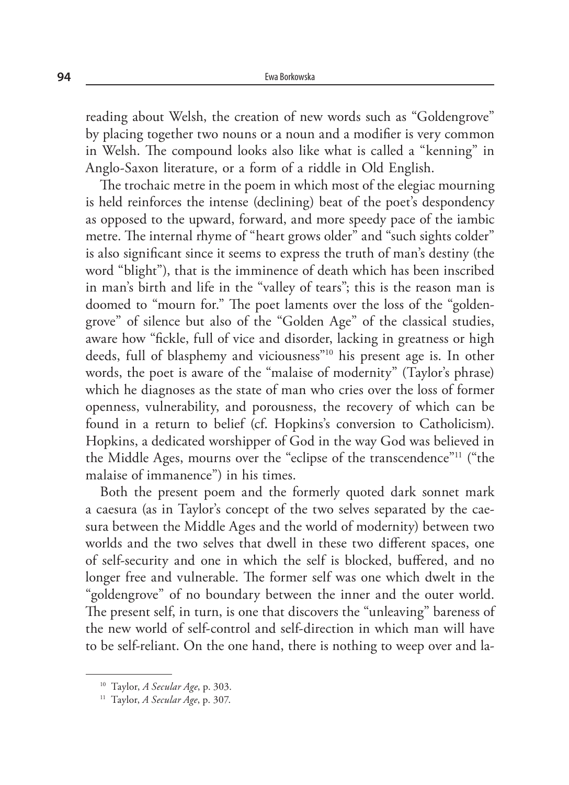reading about Welsh, the creation of new words such as "Goldengrove" by placing together two nouns or a noun and a modifier is very common in Welsh. The compound looks also like what is called a "kenning" in Anglo-Saxon literature, or a form of a riddle in Old English.

The trochaic metre in the poem in which most of the elegiac mourning is held reinforces the intense (declining) beat of the poet's despondency as opposed to the upward, forward, and more speedy pace of the iambic metre. The internal rhyme of "heart grows older" and "such sights colder" is also significant since it seems to express the truth of man's destiny (the word "blight"), that is the imminence of death which has been inscribed in man's birth and life in the "valley of tears"; this is the reason man is doomed to "mourn for." The poet laments over the loss of the "goldengrove" of silence but also of the "Golden Age" of the classical studies, aware how "fickle, full of vice and disorder, lacking in greatness or high deeds, full of blasphemy and viciousness"10 his present age is. In other words, the poet is aware of the "malaise of modernity" (Taylor's phrase) which he diagnoses as the state of man who cries over the loss of former openness, vulnerability, and porousness, the recovery of which can be found in a return to belief (cf. Hopkins's conversion to Catholicism). Hopkins, a dedicated worshipper of God in the way God was believed in the Middle Ages, mourns over the "eclipse of the transcendence"11 ("the malaise of immanence") in his times.

Both the present poem and the formerly quoted dark sonnet mark a caesura (as in Taylor's concept of the two selves separated by the caesura between the Middle Ages and the world of modernity) between two worlds and the two selves that dwell in these two different spaces, one of self-security and one in which the self is blocked, buffered, and no longer free and vulnerable. The former self was one which dwelt in the "goldengrove" of no boundary between the inner and the outer world. The present self, in turn, is one that discovers the "unleaving" bareness of the new world of self-control and self-direction in which man will have to be self-reliant. On the one hand, there is nothing to weep over and la-

<sup>10</sup> Taylor, *A Secular Age*, p. 303.

<sup>11</sup> Taylor, *A Secular Age*, p. 307.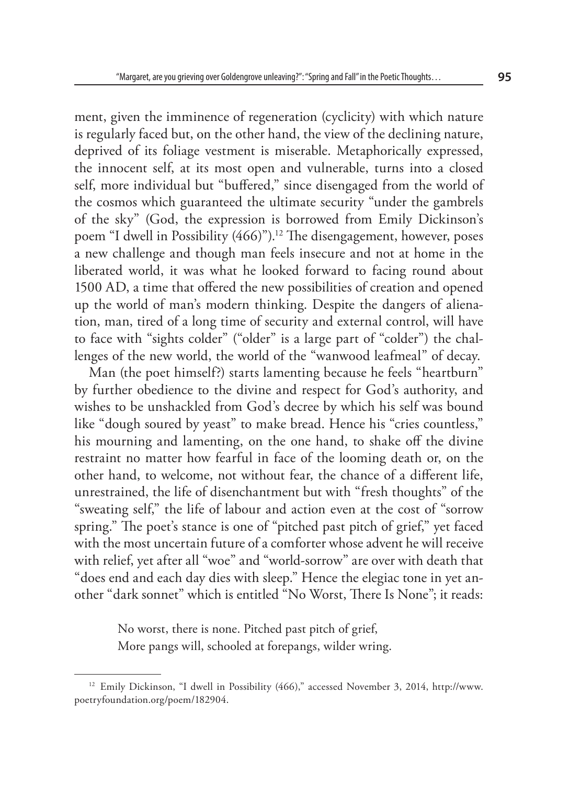ment, given the imminence of regeneration (cyclicity) with which nature is regularly faced but, on the other hand, the view of the declining nature, deprived of its foliage vestment is miserable. Metaphorically expressed, the innocent self, at its most open and vulnerable, turns into a closed self, more individual but "buffered," since disengaged from the world of the cosmos which guaranteed the ultimate security "under the gambrels of the sky" (God, the expression is borrowed from Emily Dickinson's poem "I dwell in Possibility (466)").<sup>12</sup> The disengagement, however, poses a new challenge and though man feels insecure and not at home in the liberated world, it was what he looked forward to facing round about 1500 AD, a time that offered the new possibilities of creation and opened up the world of man's modern thinking. Despite the dangers of alienation, man, tired of a long time of security and external control, will have to face with "sights colder" ("older" is a large part of "colder") the challenges of the new world, the world of the "wanwood leafmeal" of decay.

Man (the poet himself?) starts lamenting because he feels "heartburn" by further obedience to the divine and respect for God's authority, and wishes to be unshackled from God's decree by which his self was bound like "dough soured by yeast" to make bread. Hence his "cries countless," his mourning and lamenting, on the one hand, to shake off the divine restraint no matter how fearful in face of the looming death or, on the other hand, to welcome, not without fear, the chance of a different life, unrestrained, the life of disenchantment but with "fresh thoughts" of the "sweating self," the life of labour and action even at the cost of "sorrow spring." The poet's stance is one of "pitched past pitch of grief," yet faced with the most uncertain future of a comforter whose advent he will receive with relief, yet after all "woe" and "world-sorrow" are over with death that "does end and each day dies with sleep." Hence the elegiac tone in yet another "dark sonnet" which is entitled "No Worst, There Is None"; it reads:

> No worst, there is none. Pitched past pitch of grief, More pangs will, schooled at forepangs, wilder wring.

<sup>12</sup> Emily Dickinson, "I dwell in Possibility (466)," accessed November 3, 2014, http://www. poetryfoundation.org/poem/182904.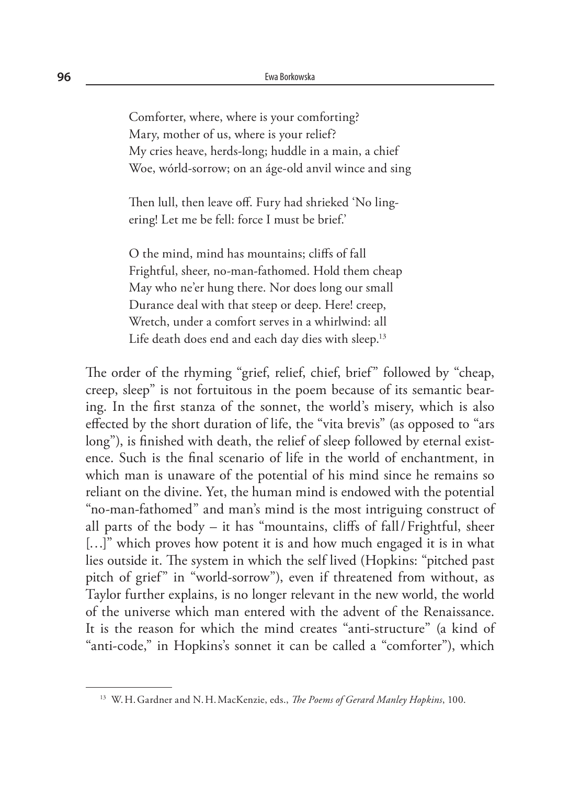Comforter, where, where is your comforting? Mary, mother of us, where is your relief? My cries heave, herds-long; huddle in a main, a chief Woe, wórld-sorrow; on an áge-old anvil wince and sing

Then lull, then leave off. Fury had shrieked 'No lingering! Let me be fell: force I must be brief.'

O the mind, mind has mountains; cliffs of fall Frightful, sheer, no-man-fathomed. Hold them cheap May who ne'er hung there. Nor does long our small Durance deal with that steep or deep. Here! creep, Wretch, under a comfort serves in a whirlwind: all Life death does end and each day dies with sleep.<sup>13</sup>

The order of the rhyming "grief, relief, chief, brief" followed by "cheap, creep, sleep" is not fortuitous in the poem because of its semantic bearing. In the first stanza of the sonnet, the world's misery, which is also effected by the short duration of life, the "vita brevis" (as opposed to "ars long"), is finished with death, the relief of sleep followed by eternal existence. Such is the final scenario of life in the world of enchantment, in which man is unaware of the potential of his mind since he remains so reliant on the divine. Yet, the human mind is endowed with the potential "no-man-fathomed" and man's mind is the most intriguing construct of all parts of the body – it has "mountains, cliffs of fall/Frightful, sheer [...]" which proves how potent it is and how much engaged it is in what lies outside it. The system in which the self lived (Hopkins: "pitched past pitch of grief" in "world-sorrow"), even if threatened from without, as Taylor further explains, is no longer relevant in the new world, the world of the universe which man entered with the advent of the Renaissance. It is the reason for which the mind creates "anti-structure" (a kind of "anti-code," in Hopkins's sonnet it can be called a "comforter"), which

<sup>13</sup> W.H.Gardner and N.H.MacKenzie, eds., *The Poems of Gerard Manley Hopkins*, 100.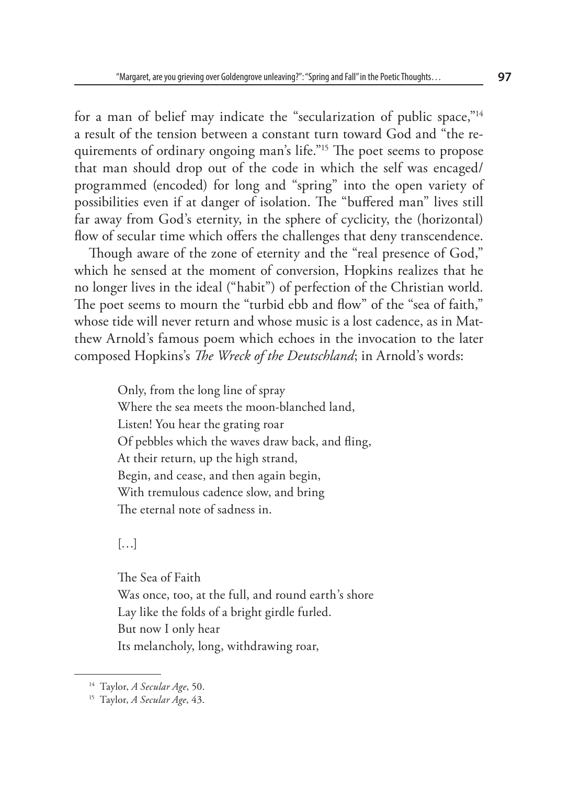for a man of belief may indicate the "secularization of public space,"14 a result of the tension between a constant turn toward God and "the requirements of ordinary ongoing man's life."<sup>15</sup> The poet seems to propose that man should drop out of the code in which the self was encaged/ programmed (encoded) for long and "spring" into the open variety of possibilities even if at danger of isolation. The "buffered man" lives still far away from God's eternity, in the sphere of cyclicity, the (horizontal) flow of secular time which offers the challenges that deny transcendence.

Though aware of the zone of eternity and the "real presence of God," which he sensed at the moment of conversion, Hopkins realizes that he no longer lives in the ideal ("habit") of perfection of the Christian world. The poet seems to mourn the "turbid ebb and flow" of the "sea of faith," whose tide will never return and whose music is a lost cadence, as in Matthew Arnold's famous poem which echoes in the invocation to the later composed Hopkins's *The Wreck of the Deutschland*; in Arnold's words:

> Only, from the long line of spray Where the sea meets the moon-blanched land, Listen! You hear the grating roar Of pebbles which the waves draw back, and fling, At their return, up the high strand, Begin, and cease, and then again begin, With tremulous cadence slow, and bring The eternal note of sadness in.

 $[\ldots]$ 

The Sea of Faith Was once, too, at the full, and round earth's shore Lay like the folds of a bright girdle furled. But now I only hear Its melancholy, long, withdrawing roar,

<sup>14</sup> Taylor, *A Secular Age*, 50.

<sup>15</sup> Taylor, *A Secular Age*, 43.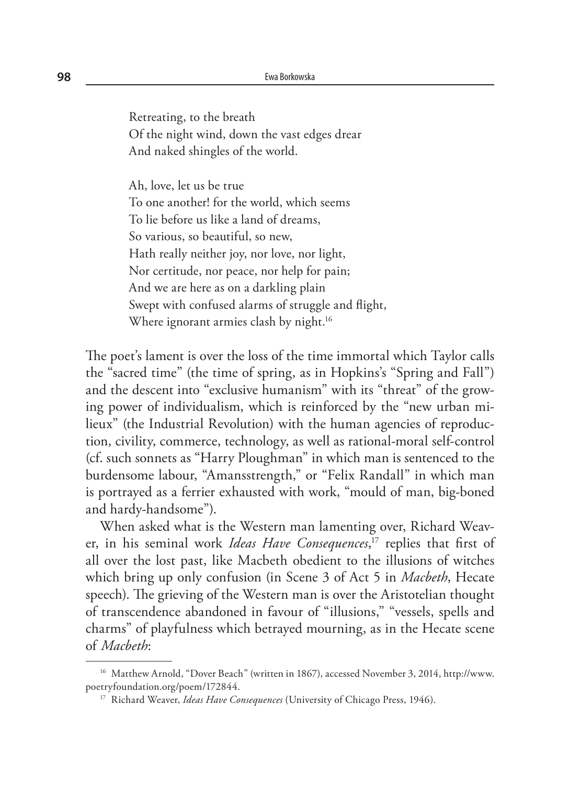Retreating, to the breath Of the night wind, down the vast edges drear And naked shingles of the world.

Ah, love, let us be true To one another! for the world, which seems To lie before us like a land of dreams, So various, so beautiful, so new, Hath really neither joy, nor love, nor light, Nor certitude, nor peace, nor help for pain; And we are here as on a darkling plain Swept with confused alarms of struggle and flight, Where ignorant armies clash by night.<sup>16</sup>

The poet's lament is over the loss of the time immortal which Taylor calls the "sacred time" (the time of spring, as in Hopkins's "Spring and Fall") and the descent into "exclusive humanism" with its "threat" of the growing power of individualism, which is reinforced by the "new urban milieux" (the Industrial Revolution) with the human agencies of reproduction, civility, commerce, technology, as well as rational-moral self-control (cf. such sonnets as "Harry Ploughman" in which man is sentenced to the burdensome labour, "Amansstrength," or "Felix Randall" in which man is portrayed as a ferrier exhausted with work, "mould of man, big-boned and hardy-handsome").

When asked what is the Western man lamenting over, Richard Weaver, in his seminal work *Ideas Have Consequences*, 17 replies that first of all over the lost past, like Macbeth obedient to the illusions of witches which bring up only confusion (in Scene 3 of Act 5 in *Macbeth*, Hecate speech). The grieving of the Western man is over the Aristotelian thought of transcendence abandoned in favour of "illusions," "vessels, spells and charms" of playfulness which betrayed mourning, as in the Hecate scene of *Macbeth*:

<sup>16</sup> Matthew Arnold, "Dover Beach" (written in 1867), accessed November 3, 2014, http://www. poetryfoundation.org/poem/172844.

<sup>17</sup> Richard Weaver, *Ideas Have Consequences* (University of Chicago Press, 1946).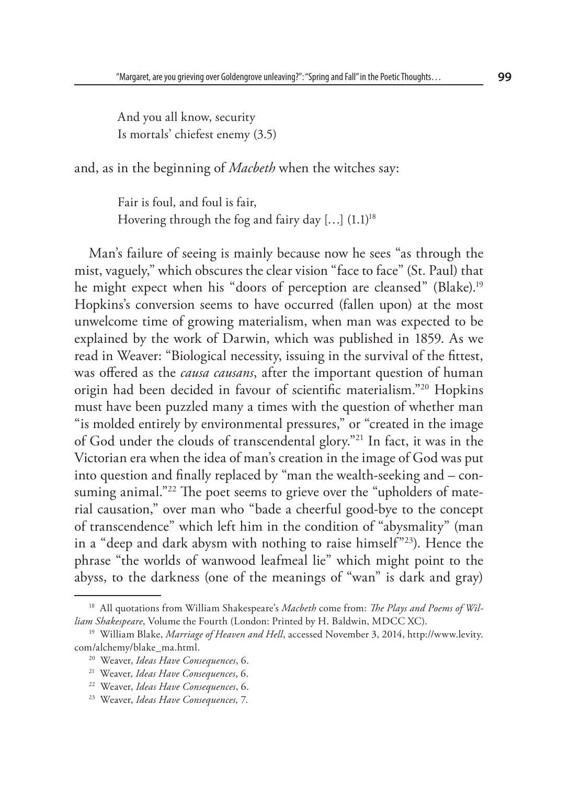And you all know, security Is mortals' chiefest enemy (3.5)

and, as in the beginning of *Macbeth* when the witches say:

Fair is foul, and foul is fair, Hovering through the fog and fairy day  $[...]$   $(1.1)^{18}$ 

Man's failure of seeing is mainly because now he sees "as through the mist, vaguely," which obscures the clear vision "face to face" (St. Paul) that he might expect when his "doors of perception are cleansed" (Blake).<sup>19</sup> Hopkins's conversion seems to have occurred (fallen upon) at the most unwelcome time of growing materialism, when man was expected to be explained by the work of Darwin, which was published in 1859. As we read in Weaver: "Biological necessity, issuing in the survival of the fittest, was offered as the *causa causans*, after the important question of human origin had been decided in favour of scientific materialism."20 Hopkins must have been puzzled many a times with the question of whether man "is molded entirely by environmental pressures," or "created in the image of God under the clouds of transcendental glory."21 In fact, it was in the Victorian era when the idea of man's creation in the image of God was put into question and finally replaced by "man the wealth-seeking and – consuming animal."<sup>22</sup> The poet seems to grieve over the "upholders of material causation," over man who "bade a cheerful good-bye to the concept of transcendence" which left him in the condition of "abysmality" (man in a "deep and dark abysm with nothing to raise himself"23). Hence the phrase "the worlds of wanwood leafmeal lie" which might point to the abyss, to the darkness (one of the meanings of "wan" is dark and gray)

<sup>18</sup> All quotations from William Shakespeare's *Macbeth* come from: *The Plays and Poems of William Shakespeare*, Volume the Fourth (London: Printed by H. Baldwin, MDCC XC).

<sup>&</sup>lt;sup>19</sup> William Blake, *Marriage of Heaven and Hell*, accessed November 3, 2014, http://www.levity. com/alchemy/blake\_ma.html.

<sup>20</sup> Weaver, *Ideas Have Consequences*, 6.

<sup>21</sup> Weaver, *Ideas Have Consequences*, 6.

<sup>22</sup> Weaver, *Ideas Have Consequences*, 6.

<sup>23</sup> Weaver, *Ideas Have Consequences,* 7.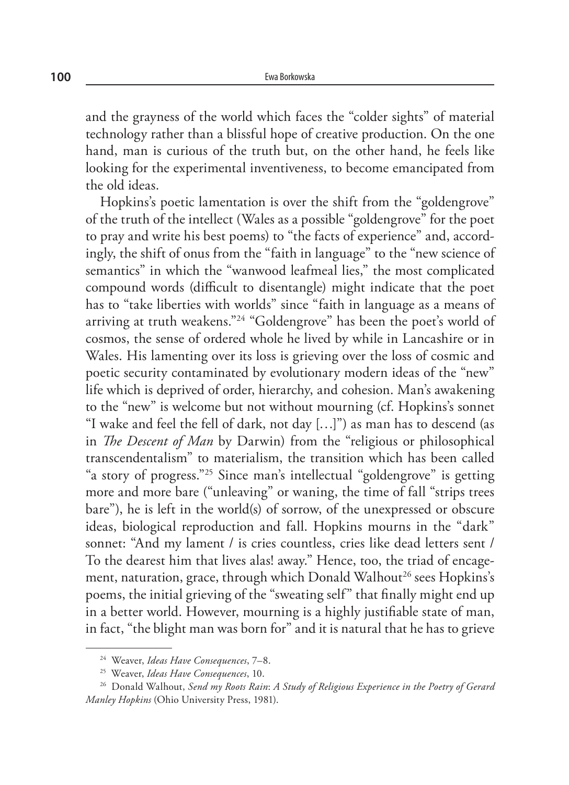and the grayness of the world which faces the "colder sights" of material technology rather than a blissful hope of creative production. On the one hand, man is curious of the truth but, on the other hand, he feels like looking for the experimental inventiveness, to become emancipated from the old ideas.

Hopkins's poetic lamentation is over the shift from the "goldengrove" of the truth of the intellect (Wales as a possible "goldengrove" for the poet to pray and write his best poems) to "the facts of experience" and, accordingly, the shift of onus from the "faith in language" to the "new science of semantics" in which the "wanwood leafmeal lies," the most complicated compound words (difficult to disentangle) might indicate that the poet has to "take liberties with worlds" since "faith in language as a means of arriving at truth weakens."24 "Goldengrove" has been the poet's world of cosmos, the sense of ordered whole he lived by while in Lancashire or in Wales. His lamenting over its loss is grieving over the loss of cosmic and poetic security contaminated by evolutionary modern ideas of the "new" life which is deprived of order, hierarchy, and cohesion. Man's awakening to the "new" is welcome but not without mourning (cf. Hopkins's sonnet "I wake and feel the fell of dark, not day […]") as man has to descend (as in *The Descent of Man* by Darwin) from the "religious or philosophical transcendentalism" to materialism, the transition which has been called "a story of progress."25 Since man's intellectual "goldengrove" is getting more and more bare ("unleaving" or waning, the time of fall "strips trees bare"), he is left in the world(s) of sorrow, of the unexpressed or obscure ideas, biological reproduction and fall. Hopkins mourns in the "dark" sonnet: "And my lament / is cries countless, cries like dead letters sent / To the dearest him that lives alas! away." Hence, too, the triad of encagement, naturation, grace, through which Donald Walhout<sup>26</sup> sees Hopkins's poems, the initial grieving of the "sweating self" that finally might end up in a better world. However, mourning is a highly justifiable state of man, in fact, "the blight man was born for" and it is natural that he has to grieve

<sup>24</sup> Weaver, *Ideas Have Consequences*, 7–8.

<sup>25</sup> Weaver, *Ideas Have Consequences*, 10.

<sup>26</sup> Donald Walhout, *Send my Roots Rain*: *A Study of Religious Experience in the Poetry of Gerard Manley Hopkins* (Ohio University Press, 1981).